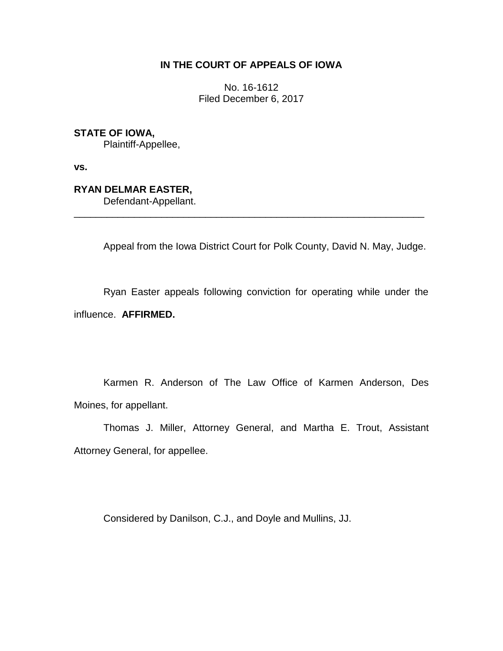## **IN THE COURT OF APPEALS OF IOWA**

No. 16-1612 Filed December 6, 2017

**STATE OF IOWA,**

Plaintiff-Appellee,

**vs.**

**RYAN DELMAR EASTER,**

Defendant-Appellant.

Appeal from the Iowa District Court for Polk County, David N. May, Judge.

Ryan Easter appeals following conviction for operating while under the influence. **AFFIRMED.**

\_\_\_\_\_\_\_\_\_\_\_\_\_\_\_\_\_\_\_\_\_\_\_\_\_\_\_\_\_\_\_\_\_\_\_\_\_\_\_\_\_\_\_\_\_\_\_\_\_\_\_\_\_\_\_\_\_\_\_\_\_\_\_\_

Karmen R. Anderson of The Law Office of Karmen Anderson, Des Moines, for appellant.

Thomas J. Miller, Attorney General, and Martha E. Trout, Assistant Attorney General, for appellee.

Considered by Danilson, C.J., and Doyle and Mullins, JJ.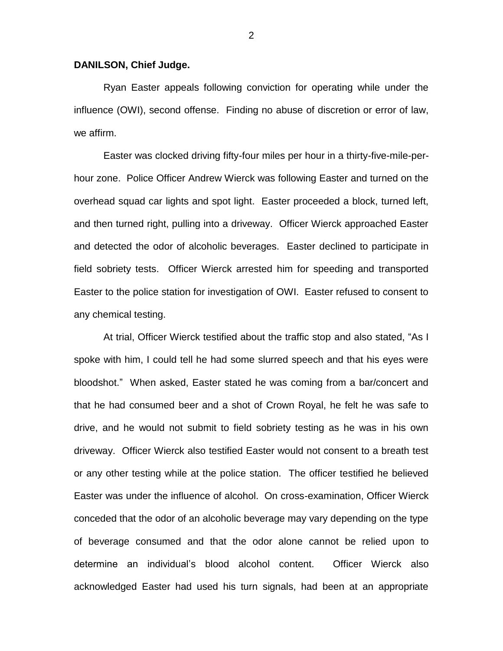## **DANILSON, Chief Judge.**

Ryan Easter appeals following conviction for operating while under the influence (OWI), second offense. Finding no abuse of discretion or error of law, we affirm.

Easter was clocked driving fifty-four miles per hour in a thirty-five-mile-perhour zone. Police Officer Andrew Wierck was following Easter and turned on the overhead squad car lights and spot light. Easter proceeded a block, turned left, and then turned right, pulling into a driveway. Officer Wierck approached Easter and detected the odor of alcoholic beverages. Easter declined to participate in field sobriety tests. Officer Wierck arrested him for speeding and transported Easter to the police station for investigation of OWI. Easter refused to consent to any chemical testing.

At trial, Officer Wierck testified about the traffic stop and also stated, "As I spoke with him, I could tell he had some slurred speech and that his eyes were bloodshot." When asked, Easter stated he was coming from a bar/concert and that he had consumed beer and a shot of Crown Royal, he felt he was safe to drive, and he would not submit to field sobriety testing as he was in his own driveway. Officer Wierck also testified Easter would not consent to a breath test or any other testing while at the police station. The officer testified he believed Easter was under the influence of alcohol. On cross-examination, Officer Wierck conceded that the odor of an alcoholic beverage may vary depending on the type of beverage consumed and that the odor alone cannot be relied upon to determine an individual's blood alcohol content. Officer Wierck also acknowledged Easter had used his turn signals, had been at an appropriate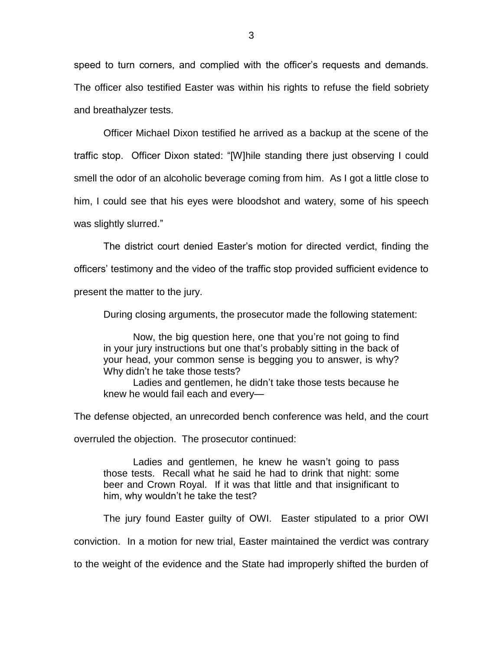speed to turn corners, and complied with the officer's requests and demands. The officer also testified Easter was within his rights to refuse the field sobriety and breathalyzer tests.

Officer Michael Dixon testified he arrived as a backup at the scene of the traffic stop. Officer Dixon stated: "[W]hile standing there just observing I could smell the odor of an alcoholic beverage coming from him. As I got a little close to him, I could see that his eyes were bloodshot and watery, some of his speech was slightly slurred."

The district court denied Easter's motion for directed verdict, finding the officers' testimony and the video of the traffic stop provided sufficient evidence to present the matter to the jury.

During closing arguments, the prosecutor made the following statement:

Now, the big question here, one that you're not going to find in your jury instructions but one that's probably sitting in the back of your head, your common sense is begging you to answer, is why? Why didn't he take those tests?

Ladies and gentlemen, he didn't take those tests because he knew he would fail each and every—

The defense objected, an unrecorded bench conference was held, and the court

overruled the objection. The prosecutor continued:

Ladies and gentlemen, he knew he wasn't going to pass those tests. Recall what he said he had to drink that night: some beer and Crown Royal. If it was that little and that insignificant to him, why wouldn't he take the test?

The jury found Easter guilty of OWI. Easter stipulated to a prior OWI conviction. In a motion for new trial, Easter maintained the verdict was contrary to the weight of the evidence and the State had improperly shifted the burden of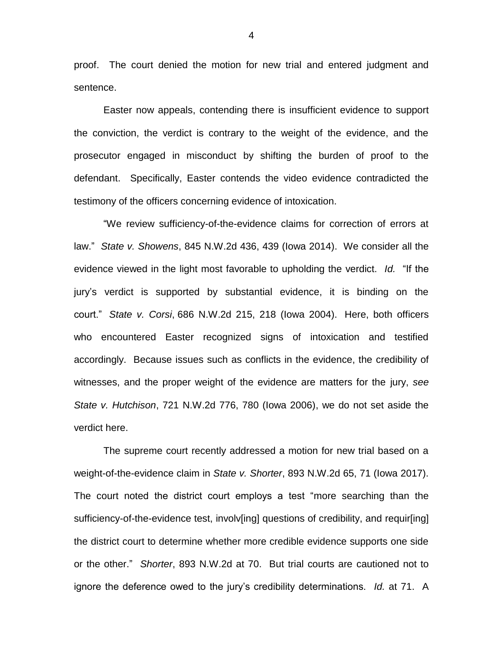proof. The court denied the motion for new trial and entered judgment and sentence.

Easter now appeals, contending there is insufficient evidence to support the conviction, the verdict is contrary to the weight of the evidence, and the prosecutor engaged in misconduct by shifting the burden of proof to the defendant. Specifically, Easter contends the video evidence contradicted the testimony of the officers concerning evidence of intoxication.

"We review sufficiency-of-the-evidence claims for correction of errors at law." *State v. Showens*, 845 N.W.2d 436, 439 (Iowa 2014). We consider all the evidence viewed in the light most favorable to upholding the verdict. *Id.* "If the jury's verdict is supported by substantial evidence, it is binding on the court." *State v. Corsi*, 686 N.W.2d 215, 218 (Iowa 2004). Here, both officers who encountered Easter recognized signs of intoxication and testified accordingly. Because issues such as conflicts in the evidence, the credibility of witnesses, and the proper weight of the evidence are matters for the jury, *see State v. Hutchison*, 721 N.W.2d 776, 780 (Iowa 2006), we do not set aside the verdict here.

The supreme court recently addressed a motion for new trial based on a weight-of-the-evidence claim in *State v. Shorter*, 893 N.W.2d 65, 71 (Iowa 2017). The court noted the district court employs a test "more searching than the sufficiency-of-the-evidence test, involv[ing] questions of credibility, and requir[ing] the district court to determine whether more credible evidence supports one side or the other." *Shorter*, 893 N.W.2d at 70. But trial courts are cautioned not to ignore the deference owed to the jury's credibility determinations. *Id.* at 71. A

4